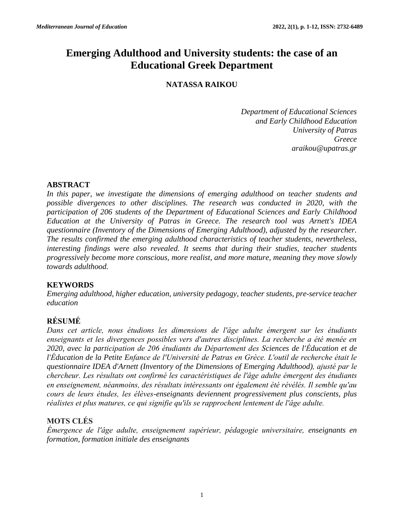# **Emerging Adulthood and University students: the case of an Educational Greek Department**

# **NATASSA RAIKOU**

*Department of Educational Sciences and Early Childhood Education University of Patras Greece [araikou@upatras.gr](mailto:araikou@upatras.gr)*

### **ABSTRACT**

*In this paper, we investigate the dimensions of emerging adulthood on teacher students and possible divergences to other disciplines. The research was conducted in 2020, with the participation of 206 students of the Department of Educational Sciences and Early Childhood Education at the University of Patras in Greece. The research tool was Arnett's IDEA questionnaire (Inventory of the Dimensions of Emerging Adulthood), adjusted by the researcher. The results confirmed the emerging adulthood characteristics of teacher students, nevertheless, interesting findings were also revealed. It seems that during their studies, teacher students progressively become more conscious, more realist, and more mature, meaning they move slowly towards adulthood.*

# **KEYWORDS**

*Emerging adulthood, higher education, university pedagogy, teacher students, pre-service teacher education*

# **RÉSUMÉ**

*Dans cet article, nous étudions les dimensions de l'âge adulte émergent sur les étudiants enseignants et les divergences possibles vers d'autres disciplines. La recherche a été menée en 2020, avec la participation de 206 étudiants du Département des Sciences de l'Éducation et de l'Éducation de la Petite Enfance de l'Université de Patras en Grèce. L'outil de recherche était le questionnaire IDEA d'Arnett (Inventory of the Dimensions of Emerging Adulthood), ajusté par le chercheur. Les résultats ont confirmé les caractéristiques de l'âge adulte émergent des étudiants en enseignement, néanmoins, des résultats intéressants ont également été révélés. Il semble qu'au cours de leurs études, les élèves-enseignants deviennent progressivement plus conscients, plus réalistes et plus matures, ce qui signifie qu'ils se rapprochent lentement de l'âge adulte.*

# **MOTS CLÉS**

*Émergence de l'âge adulte, enseignement supérieur, pédagogie universitaire, enseignants en formation, formation initiale des enseignants*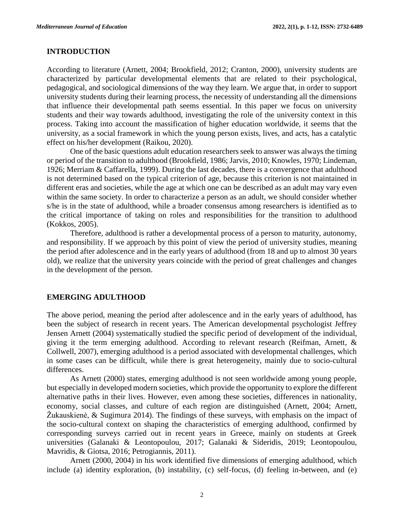#### **INTRODUCTION**

According to literature (Arnett, 2004; Brookfield, 2012; Cranton, 2000), university students are characterized by particular developmental elements that are related to their psychological, pedagogical, and sociological dimensions of the way they learn. We argue that, in order to support university students during their learning process, the necessity of understanding all the dimensions that influence their developmental path seems essential. In this paper we focus on university students and their way towards adulthood, investigating the role of the university context in this process. Taking into account the massification of higher education worldwide, it seems that the university, as a social framework in which the young person exists, lives, and acts, has a catalytic effect on his/her development (Raikou, 2020).

One of the basic questions adult education researchers seek to answer was always the timing or period of the transition to adulthood (Brookfield, 1986; Jarvis, 2010; Knowles, 1970; Lindeman, 1926; Merriam & Caffarella, 1999). During the last decades, there is a convergence that adulthood is not determined based on the typical criterion of age, because this criterion is not maintained in different eras and societies, while the age at which one can be described as an adult may vary even within the same society. In order to characterize a person as an adult, we should consider whether s/he is in the state of adulthood, while a broader consensus among researchers is identified as to the critical importance of taking on roles and responsibilities for the transition to adulthood (Kokkos, 2005).

Therefore, adulthood is rather a developmental process of a person to maturity, autonomy, and responsibility. If we approach by this point of view the period of university studies, meaning the period after adolescence and in the early years of adulthood (from 18 and up to almost 30 years old), we realize that the university years coincide with the period of great challenges and changes in the development of the person.

#### **EMERGING ADULTHOOD**

The above period, meaning the period after adolescence and in the early years of adulthood, has been the subject of research in recent years. The American developmental psychologist Jeffrey Jensen Arnett (2004) systematically studied the specific period of development of the individual, giving it the term emerging adulthood. According to relevant research (Reifman, Arnett, & Collwell, 2007), emerging adulthood is a period associated with developmental challenges, which in some cases can be difficult, while there is great heterogeneity, mainly due to socio-cultural differences.

As Arnett (2000) states, emerging adulthood is not seen worldwide among young people, but especially in developed modern societies, which provide the opportunity to explore the different alternative paths in their lives. However, even among these societies, differences in nationality, economy, social classes, and culture of each region are distinguished (Arnett, 2004; Arnett, Žukauskienė, & Sugimura 2014). The findings of these surveys, with emphasis on the impact of the socio-cultural context on shaping the characteristics of emerging adulthood, confirmed by corresponding surveys carried out in recent years in Greece, mainly on students at Greek universities (Galanaki & Leontopoulou, 2017; Galanaki & Sideridis, 2019; Leontopoulou, Mavridis, & Giotsa, 2016; Petrogiannis, 2011).

Arnett (2000, 2004) in his work identified five dimensions of emerging adulthood, which include (a) identity exploration, (b) instability, (c) self-focus, (d) feeling in-between, and (e)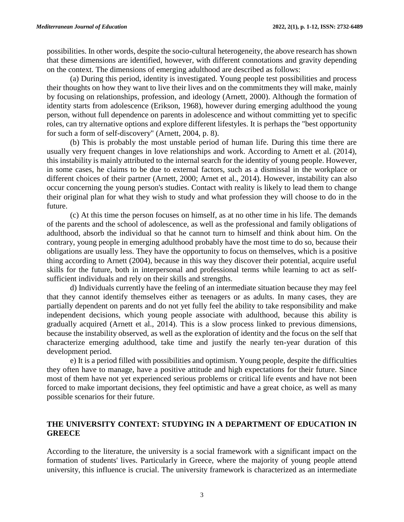possibilities. In other words, despite the socio-cultural heterogeneity, the above research has shown that these dimensions are identified, however, with different connotations and gravity depending on the context. The dimensions of emerging adulthood are described as follows:

(a) During this period, identity is investigated. Young people test possibilities and process their thoughts on how they want to live their lives and on the commitments they will make, mainly by focusing on relationships, profession, and ideology (Arnett, 2000). Although the formation of identity starts from adolescence (Erikson, 1968), however during emerging adulthood the young person, without full dependence on parents in adolescence and without committing yet to specific roles, can try alternative options and explore different lifestyles. It is perhaps the "best opportunity for such a form of self-discovery" (Arnett, 2004, p. 8).

(b) This is probably the most unstable period of human life. During this time there are usually very frequent changes in love relationships and work. According to Arnett et al. (2014), this instability is mainly attributed to the internal search for the identity of young people. However, in some cases, he claims to be due to external factors, such as a dismissal in the workplace or different choices of their partner (Arnett, 2000; Arnet et al., 2014). However, instability can also occur concerning the young person's studies. Contact with reality is likely to lead them to change their original plan for what they wish to study and what profession they will choose to do in the future.

(c) At this time the person focuses on himself, as at no other time in his life. The demands of the parents and the school of adolescence, as well as the professional and family obligations of adulthood, absorb the individual so that he cannot turn to himself and think about him. On the contrary, young people in emerging adulthood probably have the most time to do so, because their obligations are usually less. They have the opportunity to focus on themselves, which is a positive thing according to Arnett (2004), because in this way they discover their potential, acquire useful skills for the future, both in interpersonal and professional terms while learning to act as selfsufficient individuals and rely on their skills and strengths.

d) Individuals currently have the feeling of an intermediate situation because they may feel that they cannot identify themselves either as teenagers or as adults. In many cases, they are partially dependent on parents and do not yet fully feel the ability to take responsibility and make independent decisions, which young people associate with adulthood, because this ability is gradually acquired (Arnett et al., 2014). This is a slow process linked to previous dimensions, because the instability observed, as well as the exploration of identity and the focus on the self that characterize emerging adulthood, take time and justify the nearly ten-year duration of this development period.

e) It is a period filled with possibilities and optimism. Young people, despite the difficulties they often have to manage, have a positive attitude and high expectations for their future. Since most of them have not yet experienced serious problems or critical life events and have not been forced to make important decisions, they feel optimistic and have a great choice, as well as many possible scenarios for their future.

### **THE UNIVERSITY CONTEXT: STUDYING IN A DEPARTMENT OF EDUCATION IN GREECE**

According to the literature, the university is a social framework with a significant impact on the formation of students' lives. Particularly in Greece, where the majority of young people attend university, this influence is crucial. The university framework is characterized as an intermediate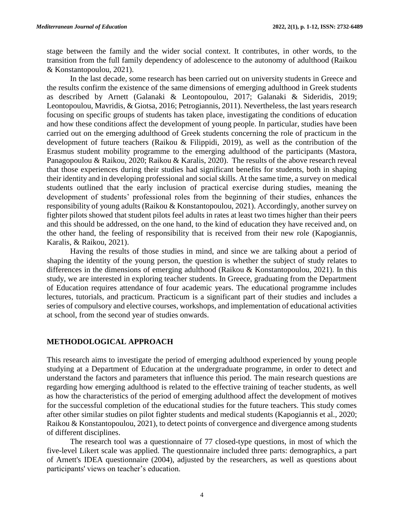stage between the family and the wider social context. It contributes, in other words, to the transition from the full family dependency of adolescence to the autonomy of adulthood (Raikou & Konstantopoulou, 2021).

In the last decade, some research has been carried out on university students in Greece and the results confirm the existence of the same dimensions of emerging adulthood in Greek students as described by Arnett (Galanaki & Leontopoulou, 2017; Galanaki & Sideridis, 2019; Leontopoulou, Mavridis, & Giotsa, 2016; Petrogiannis, 2011). Nevertheless, the last years research focusing on specific groups of students has taken place, investigating the conditions of education and how these conditions affect the development of young people. In particular, studies have been carried out on the emerging adulthood of Greek students concerning the role of practicum in the development of future teachers (Raikou & Filippidi, 2019), as well as the contribution of the Erasmus student mobility programme to the emerging adulthood of the participants (Mastora, Panagopoulou & Raikou, 2020; Raikou & Karalis, 2020). The results of the above research reveal that those experiences during their studies had significant benefits for students, both in shaping their identity and in developing professional and social skills. At the same time, a survey on medical students outlined that the early inclusion of practical exercise during studies, meaning the development of students' professional roles from the beginning of their studies, enhances the responsibility of young adults (Raikou & Konstantopoulou, 2021). Accordingly, another survey on fighter pilots showed that student pilots feel adults in rates at least two times higher than their peers and this should be addressed, on the one hand, to the kind of education they have received and, on the other hand, the feeling of responsibility that is received from their new role (Kapogiannis, Karalis, & Raikou, 2021).

Having the results of those studies in mind, and since we are talking about a period of shaping the identity of the young person, the question is whether the subject of study relates to differences in the dimensions of emerging adulthood (Raikou & Konstantopoulou, 2021). In this study, we are interested in exploring teacher students. In Greece, graduating from the Department of Education requires attendance of four academic years. The educational programme includes lectures, tutorials, and practicum. Practicum is a significant part of their studies and includes a series of compulsory and elective courses, workshops, and implementation of educational activities at school, from the second year of studies onwards.

# **METHODOLOGICAL APPROACH**

This research aims to investigate the period of emerging adulthood experienced by young people studying at a Department of Education at the undergraduate programme, in order to detect and understand the factors and parameters that influence this period. The main research questions are regarding how emerging adulthood is related to the effective training of teacher students, as well as how the characteristics of the period of emerging adulthood affect the development of motives for the successful completion of the educational studies for the future teachers. This study comes after other similar studies on pilot fighter students and medical students (Kapogiannis et al., 2020; Raikou & Konstantopoulou, 2021), to detect points of convergence and divergence among students of different disciplines.

The research tool was a questionnaire of 77 closed-type questions, in most of which the five-level Likert scale was applied. The questionnaire included three parts: demographics, a part of Arnett's IDEA questionnaire (2004), adjusted by the researchers, as well as questions about participants' views on teacher's education.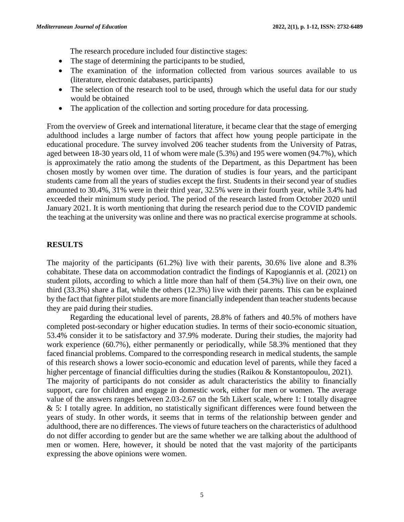The research procedure included four distinctive stages:

- The stage of determining the participants to be studied,
- The examination of the information collected from various sources available to us (literature, electronic databases, participants)
- The selection of the research tool to be used, through which the useful data for our study would be obtained
- The application of the collection and sorting procedure for data processing.

From the overview of Greek and international literature, it became clear that the stage of emerging adulthood includes a large number of factors that affect how young people participate in the educational procedure. The survey involved 206 teacher students from the University of Patras, aged between 18-30 years old, 11 of whom were male (5.3%) and 195 were women (94.7%), which is approximately the ratio among the students of the Department, as this Department has been chosen mostly by women over time. The duration of studies is four years, and the participant students came from all the years of studies except the first. Students in their second year of studies amounted to 30.4%, 31% were in their third year, 32.5% were in their fourth year, while 3.4% had exceeded their minimum study period. The period of the research lasted from October 2020 until January 2021. It is worth mentioning that during the research period due to the COVID pandemic the teaching at the university was online and there was no practical exercise programme at schools.

# **RESULTS**

The majority of the participants (61.2%) live with their parents, 30.6% live alone and 8.3% cohabitate. These data on accommodation contradict the findings of Kapogiannis et al. (2021) on student pilots, according to which a little more than half of them (54.3%) live on their own, one third (33.3%) share a flat, while the others (12.3%) live with their parents. This can be explained by the fact that fighter pilot students are more financially independent than teacher students because they are paid during their studies.

Regarding the educational level of parents, 28.8% of fathers and 40.5% of mothers have completed post-secondary or higher education studies. In terms of their socio-economic situation, 53.4% consider it to be satisfactory and 37.9% moderate. During their studies, the majority had work experience (60.7%), either permanently or periodically, while 58.3% mentioned that they faced financial problems. Compared to the corresponding research in medical students, the sample of this research shows a lower socio-economic and education level of parents, while they faced a higher percentage of financial difficulties during the studies (Raikou & Konstantopoulou, 2021). The majority of participants do not consider as adult characteristics the ability to financially support, care for children and engage in domestic work, either for men or women. The average value of the answers ranges between 2.03-2.67 on the 5th Likert scale, where 1: I totally disagree  $& 5$ : I totally agree. In addition, no statistically significant differences were found between the years of study. In other words, it seems that in terms of the relationship between gender and adulthood, there are no differences. The views of future teachers on the characteristics of adulthood do not differ according to gender but are the same whether we are talking about the adulthood of men or women. Here, however, it should be noted that the vast majority of the participants expressing the above opinions were women.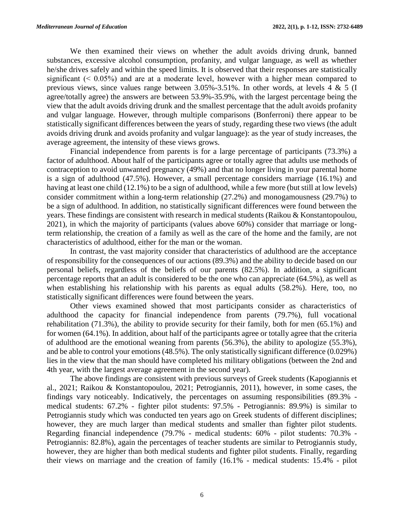We then examined their views on whether the adult avoids driving drunk, banned substances, excessive alcohol consumption, profanity, and vulgar language, as well as whether he/she drives safely and within the speed limits. It is observed that their responses are statistically significant  $( $0.05\%$ )$  and are at a moderate level, however with a higher mean compared to previous views, since values range between 3.05%-3.51%. In other words, at levels 4 & 5 (I agree/totally agree) the answers are between 53.9%-35.9%, with the largest percentage being the view that the adult avoids driving drunk and the smallest percentage that the adult avoids profanity and vulgar language. However, through multiple comparisons (Bonferroni) there appear to be statistically significant differences between the years of study, regarding these two views (the adult avoids driving drunk and avoids profanity and vulgar language): as the year of study increases, the average agreement, the intensity of these views grows.

Financial independence from parents is for a large percentage of participants (73.3%) a factor of adulthood. About half of the participants agree or totally agree that adults use methods of contraception to avoid unwanted pregnancy (49%) and that no longer living in your parental home is a sign of adulthood (47.5%). However, a small percentage considers marriage (16.1%) and having at least one child (12.1%) to be a sign of adulthood, while a few more (but still at low levels) consider commitment within a long-term relationship (27.2%) and monogamousness (29.7%) to be a sign of adulthood. In addition, no statistically significant differences were found between the years. These findings are consistent with research in medical students (Raikou & Konstantopoulou, 2021), in which the majority of participants (values above 60%) consider that marriage or longterm relationship, the creation of a family as well as the care of the home and the family, are not characteristics of adulthood, either for the man or the woman.

In contrast, the vast majority consider that characteristics of adulthood are the acceptance of responsibility for the consequences of our actions (89.3%) and the ability to decide based on our personal beliefs, regardless of the beliefs of our parents (82.5%). In addition, a significant percentage reports that an adult is considered to be the one who can appreciate (64.5%), as well as when establishing his relationship with his parents as equal adults (58.2%). Here, too, no statistically significant differences were found between the years.

Other views examined showed that most participants consider as characteristics of adulthood the capacity for financial independence from parents (79.7%), full vocational rehabilitation (71.3%), the ability to provide security for their family, both for men (65.1%) and for women (64.1%). In addition, about half of the participants agree or totally agree that the criteria of adulthood are the emotional weaning from parents (56.3%), the ability to apologize (55.3%), and be able to control your emotions (48.5%). The only statistically significant difference (0.029%) lies in the view that the man should have completed his military obligations (between the 2nd and 4th year, with the largest average agreement in the second year).

The above findings are consistent with previous surveys of Greek students (Kapogiannis et al., 2021; Raikou & Konstantopoulou, 2021; Petrogiannis, 2011), however, in some cases, the findings vary noticeably. Indicatively, the percentages on assuming responsibilities (89.3% medical students: 67.2% - fighter pilot students: 97.5% - Petrogiannis: 89.9%) is similar to Petrogiannis study which was conducted ten years ago on Greek students of different disciplines; however, they are much larger than medical students and smaller than fighter pilot students. Regarding financial independence (79.7% - medical students: 60% - pilot students: 70.3% - Petrogiannis: 82.8%), again the percentages of teacher students are similar to Petrogiannis study, however, they are higher than both medical students and fighter pilot students. Finally, regarding their views on marriage and the creation of family (16.1% - medical students: 15.4% - pilot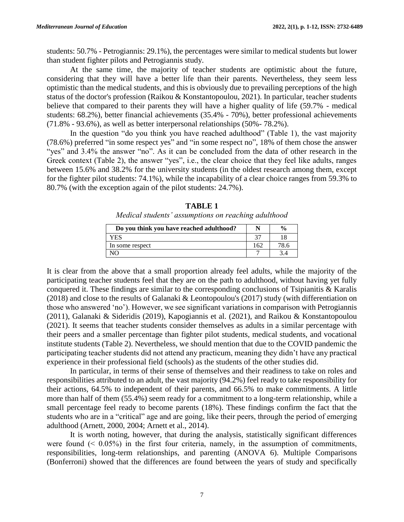students: 50.7% - Petrogiannis: 29.1%), the percentages were similar to medical students but lower than student fighter pilots and Petrogiannis study.

At the same time, the majority of teacher students are optimistic about the future, considering that they will have a better life than their parents. Nevertheless, they seem less optimistic than the medical students, and this is obviously due to prevailing perceptions of the high status of the doctor's profession (Raikou & Konstantopoulou, 2021). In particular, teacher students believe that compared to their parents they will have a higher quality of life (59.7% - medical students: 68.2%), better financial achievements (35.4% - 70%), better professional achievements (71.8% - 93.6%), as well as better interpersonal relationships (50%- 78.2%).

In the question "do you think you have reached adulthood" (Table 1), the vast majority (78.6%) preferred "in some respect yes" and "in some respect no", 18% of them chose the answer "yes" and 3.4% the answer "no". As it can be concluded from the data of other research in the Greek context (Table 2), the answer "yes", i.e., the clear choice that they feel like adults, ranges between 15.6% and 38.2% for the university students (in the oldest research among them, except for the fighter pilot students: 74.1%), while the incapability of a clear choice ranges from 59.3% to 80.7% (with the exception again of the pilot students: 24.7%).

|                                                     | <b>TABLE 1</b> |  |  |
|-----------------------------------------------------|----------------|--|--|
| Medical students' assumptions on reaching adulthood |                |  |  |

| Do you think you have reached adulthood? |     | $\frac{0}{0}$ |
|------------------------------------------|-----|---------------|
| ES                                       |     |               |
| In some respect                          | 162 |               |
|                                          |     |               |

It is clear from the above that a small proportion already feel adults, while the majority of the participating teacher students feel that they are on the path to adulthood, without having yet fully conquered it. These findings are similar to the corresponding conclusions of Tsipianitis & Karalis (2018) and close to the results of Galanaki & Leontopoulou's (2017) study (with differentiation on those who answered 'no'). However, we see significant variations in comparison with Petrogiannis (2011), Galanaki & Sideridis (2019), Kapogiannis et al. (2021), and Raikou & Konstantopoulou (2021). It seems that teacher students consider themselves as adults in a similar percentage with their peers and a smaller percentage than fighter pilot students, medical students, and vocational institute students (Table 2). Nevertheless, we should mention that due to the COVID pandemic the participating teacher students did not attend any practicum, meaning they didn't have any practical experience in their professional field (schools) as the students of the other studies did.

In particular, in terms of their sense of themselves and their readiness to take on roles and responsibilities attributed to an adult, the vast majority (94.2%) feel ready to take responsibility for their actions, 64.5% to independent of their parents, and 66.5% to make commitments. A little more than half of them (55.4%) seem ready for a commitment to a long-term relationship, while a small percentage feel ready to become parents (18%). These findings confirm the fact that the students who are in a "critical" age and are going, like their peers, through the period of emerging adulthood (Arnett, 2000, 2004; Arnett et al., 2014).

It is worth noting, however, that during the analysis, statistically significant differences were found  $( $0.05\%$ )$  in the first four criteria, namely, in the assumption of commitments, responsibilities, long-term relationships, and parenting (ANOVA 6). Multiple Comparisons (Bonferroni) showed that the differences are found between the years of study and specifically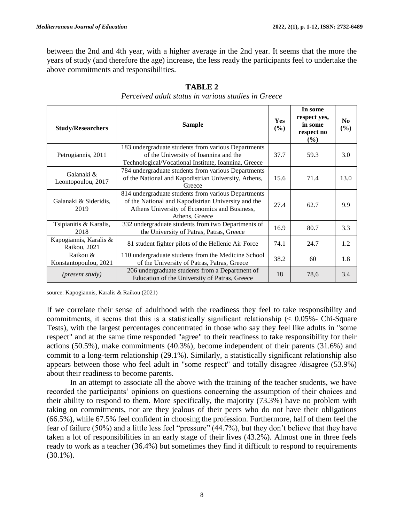between the 2nd and 4th year, with a higher average in the 2nd year. It seems that the more the years of study (and therefore the age) increase, the less ready the participants feel to undertake the above commitments and responsibilities.

| <b>Study/Researchers</b>               | <b>Sample</b>                                                                                                                                                                |      | In some<br>respect yes,<br>in some<br>respect no<br>$($ %) | N <sub>0</sub><br>(%) |
|----------------------------------------|------------------------------------------------------------------------------------------------------------------------------------------------------------------------------|------|------------------------------------------------------------|-----------------------|
| Petrogiannis, 2011                     | 183 undergraduate students from various Departments<br>of the University of Ioannina and the<br>Technological/Vocational Institute, Ioannina, Greece                         | 37.7 | 59.3                                                       | 3.0                   |
| Galanaki &<br>Leontopoulou, 2017       | 784 undergraduate students from various Departments<br>of the National and Kapodistrian University, Athens,<br>Greece                                                        | 15.6 | 71.4                                                       | 13.0                  |
| Galanaki & Sideridis,<br>2019          | 814 undergraduate students from various Departments<br>of the National and Kapodistrian University and the<br>Athens University of Economics and Business,<br>Athens, Greece | 27.4 | 62.7                                                       | 9.9                   |
| Tsipianitis & Karalis,<br>2018         | 332 undergraduate students from two Departments of<br>the University of Patras, Patras, Greece                                                                               | 16.9 | 80.7                                                       | 3.3                   |
| Kapogiannis, Karalis &<br>Raikou, 2021 | 81 student fighter pilots of the Hellenic Air Force                                                                                                                          |      | 24.7                                                       | 1.2                   |
| Raikou &<br>Konstantopoulou, 2021      | 110 undergraduate students from the Medicine School<br>of the University of Patras, Patras, Greece                                                                           | 38.2 | 60                                                         | 1.8                   |
| ( <i>present study</i> )               | 206 undergraduate students from a Department of<br>Education of the University of Patras, Greece                                                                             |      | 78,6                                                       | 3.4                   |

**TABLE 2** *Perceived adult status in various studies in Greece*

source: Kapogiannis, Karalis & Raikou (2021)

If we correlate their sense of adulthood with the readiness they feel to take responsibility and commitments, it seems that this is a statistically significant relationship  $( $0.05\%$  - Chi-Square$ Tests), with the largest percentages concentrated in those who say they feel like adults in "some respect" and at the same time responded "agree" to their readiness to take responsibility for their actions (50.5%), make commitments (40.3%), become independent of their parents (31.6%) and commit to a long-term relationship (29.1%). Similarly, a statistically significant relationship also appears between those who feel adult in "some respect" and totally disagree /disagree (53.9%) about their readiness to become parents.

In an attempt to associate all the above with the training of the teacher students, we have recorded the participants' opinions on questions concerning the assumption of their choices and their ability to respond to them. More specifically, the majority (73.3%) have no problem with taking on commitments, nor are they jealous of their peers who do not have their obligations (66.5%), while 67.5% feel confident in choosing the profession. Furthermore, half of them feel the fear of failure (50%) and a little less feel "pressure" (44.7%), but they don't believe that they have taken a lot of responsibilities in an early stage of their lives (43.2%). Almost one in three feels ready to work as a teacher (36.4%) but sometimes they find it difficult to respond to requirements (30.1%).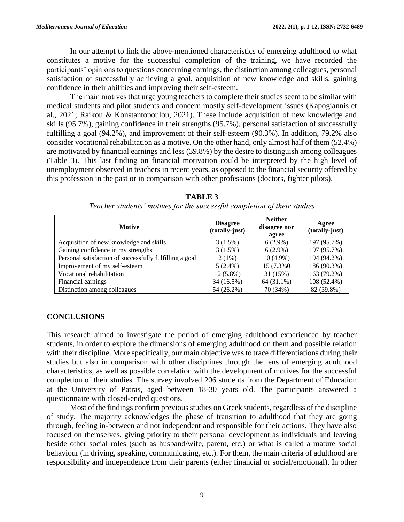In our attempt to link the above-mentioned characteristics of emerging adulthood to what constitutes a motive for the successful completion of the training, we have recorded the participants' opinions to questions concerning earnings, the distinction among colleagues, personal satisfaction of successfully achieving a goal, acquisition of new knowledge and skills, gaining confidence in their abilities and improving their self-esteem.

Τhe main motives that urge young teachers to complete their studies seem to be similar with medical students and pilot students and concern mostly self-development issues (Kapogiannis et al., 2021; Raikou & Konstantopoulou, 2021). These include acquisition of new knowledge and skills (95.7%), gaining confidence in their strengths (95.7%), personal satisfaction of successfully fulfilling a goal (94.2%), and improvement of their self-esteem (90.3%). In addition, 79.2% also consider vocational rehabilitation as a motive. On the other hand, only almost half of them (52.4%) are motivated by financial earnings and less (39.8%) by the desire to distinguish among colleagues (Table 3). This last finding on financial motivation could be interpreted by the high level of unemployment observed in teachers in recent years, as opposed to the financial security offered by this profession in the past or in comparison with other professions (doctors, fighter pilots).

| <b>Motive</b>                                           | <b>Disagree</b><br>(totally-just) | <b>Neither</b><br>disagree nor<br>agree | Agree<br>(totally-just) |
|---------------------------------------------------------|-----------------------------------|-----------------------------------------|-------------------------|
| Acquisition of new knowledge and skills                 | 3(1.5%)                           | $6(2.9\%)$                              | 197 (95.7%)             |
| Gaining confidence in my strengths                      | 3(1.5%)                           | $6(2.9\%)$                              | 197 (95.7%)             |
| Personal satisfaction of successfully fulfilling a goal | 2(1%)                             | $10(4.9\%)$                             | 194 (94.2%)             |
| Improvement of my self-esteem                           | $5(2.4\%)$                        | 15 (7.3%0)                              | 186 (90.3%)             |
| Vocational rehabilitation                               | $12(5.8\%)$                       | 31 (15%)                                | 163 (79.2%)             |
| Financial earnings                                      | 34 (16.5%)                        | 64 (31.1%)                              | 108 (52.4%)             |
| Distinction among colleagues                            | 54 (26.2%)                        | 70 (34%)                                | 82 (39.8%)              |

**TABLE 3** *Teacher students' motives for the successful completion of their studies*

| <b>CONCLUSIONS</b> |
|--------------------|
|--------------------|

This research aimed to investigate the period of emerging adulthood experienced by teacher students, in order to explore the dimensions of emerging adulthood on them and possible relation with their discipline. More specifically, our main objective was to trace differentiations during their studies but also in comparison with other disciplines through the lens of emerging adulthood characteristics, as well as possible correlation with the development of motives for the successful completion of their studies. The survey involved 206 students from the Department of Education at the University of Patras, aged between 18-30 years old. The participants answered a questionnaire with closed-ended questions.

Most of the findings confirm previous studies on Greek students, regardless of the discipline of study. The majority acknowledges the phase of transition to adulthood that they are going through, feeling in-between and not independent and responsible for their actions. They have also focused on themselves, giving priority to their personal development as individuals and leaving beside other social roles (such as husband/wife, parent, etc.) or what is called a mature social behaviour (in driving, speaking, communicating, etc.). For them, the main criteria of adulthood are responsibility and independence from their parents (either financial or social/emotional). In other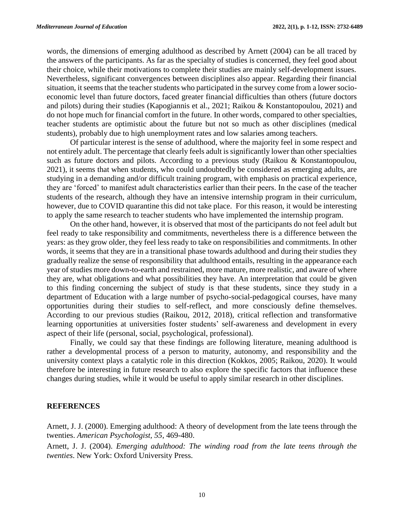words, the dimensions of emerging adulthood as described by Arnett (2004) can be all traced by the answers of the participants. As far as the specialty of studies is concerned, they feel good about their choice, while their motivations to complete their studies are mainly self-development issues. Nevertheless, significant convergences between disciplines also appear. Regarding their financial situation, it seems that the teacher students who participated in the survey come from a lower socioeconomic level than future doctors, faced greater financial difficulties than others (future doctors and pilots) during their studies (Kapogiannis et al., 2021; Raikou & Konstantopoulou, 2021) and do not hope much for financial comfort in the future. In other words, compared to other specialties, teacher students are optimistic about the future but not so much as other disciplines (medical students), probably due to high unemployment rates and low salaries among teachers.

Of particular interest is the sense of adulthood, where the majority feel in some respect and not entirely adult. The percentage that clearly feels adult is significantly lower than other specialties such as future doctors and pilots. According to a previous study (Raikou & Konstantopoulou, 2021), it seems that when students, who could undoubtedly be considered as emerging adults, are studying in a demanding and/or difficult training program, with emphasis on practical experience, they are 'forced' to manifest adult characteristics earlier than their peers. In the case of the teacher students of the research, although they have an intensive internship program in their curriculum, however, due to COVID quarantine this did not take place. For this reason, it would be interesting to apply the same research to teacher students who have implemented the internship program.

On the other hand, however, it is observed that most of the participants do not feel adult but feel ready to take responsibility and commitments, nevertheless there is a difference between the years: as they grow older, they feel less ready to take on responsibilities and commitments. In other words, it seems that they are in a transitional phase towards adulthood and during their studies they gradually realize the sense of responsibility that adulthood entails, resulting in the appearance each year of studies more down-to-earth and restrained, more mature, more realistic, and aware of where they are, what obligations and what possibilities they have. An interpretation that could be given to this finding concerning the subject of study is that these students, since they study in a department of Education with a large number of psycho-social-pedagogical courses, have many opportunities during their studies to self-reflect, and more consciously define themselves. According to our previous studies (Raikou, 2012, 2018), critical reflection and transformative learning opportunities at universities foster students' self-awareness and development in every aspect of their life (personal, social, psychological, professional).

Finally, we could say that these findings are following literature, meaning adulthood is rather a developmental process of a person to maturity, autonomy, and responsibility and the university context plays a catalytic role in this direction (Kokkos, 2005; Raikou, 2020). It would therefore be interesting in future research to also explore the specific factors that influence these changes during studies, while it would be useful to apply similar research in other disciplines.

#### **REFERENCES**

Arnett, J. J. (2000). Emerging adulthood: A theory of development from the late teens through the twenties. *American Psychologist, 55*, 469-480.

Arnett, J. J. (2004). *Emerging adulthood: The winding road from the late teens through the twenties*. New York: Oxford University Press.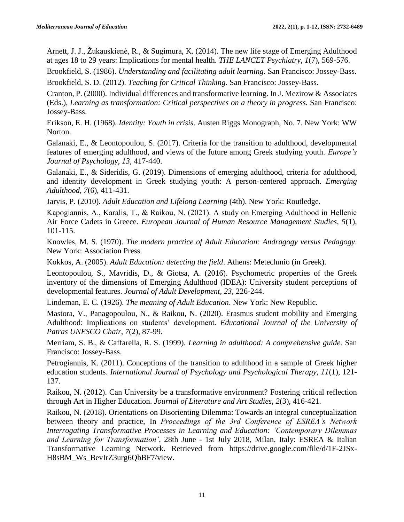Arnett, J. J., Žukauskienė, R., & Sugimura, K. (2014). The new life stage of Emerging Adulthood at ages 18 to 29 years: Implications for mental health. *THE LANCET Psychiatry, 1*(7), 569-576.

Brookfield, S. (1986). *Understanding and facilitating adult learning*. San Francisco: Jossey-Bass. Brookfield, S. D. (2012). *Teaching for Critical Thinking.* San Francisco: Jossey-Bass.

Cranton, P. (2000). Individual differences and transformative learning. In J. Mezirow & Associates (Eds.), *Learning as transformation: Critical perspectives on a theory in progress.* San Francisco: Jossey-Bass.

Erikson, E. H. (1968). *Identity: Youth in crisis*. Austen Riggs Monograph, No. 7. New York: WW Norton.

Galanaki, E., & Leontopoulou, S. (2017). Criteria for the transition to adulthood, developmental features of emerging adulthood, and views of the future among Greek studying youth. *Europe's Journal of Psychology, 13,* 417-440.

Galanaki, E., & Sideridis, G. (2019). Dimensions of emerging adulthood, criteria for adulthood, and identity development in Greek studying youth: A person-centered approach. *Emerging Adulthood, 7*(6), 411-431.

Jarvis, P. (2010). *Adult Education and Lifelong Learning* (4th). New York: Routledge.

Kapogiannis, Α., Karalis, T., & Raikou, Ν. (2021). A study on Emerging Adulthood in Hellenic Air Force Cadets in Greece. *European Journal of Human Resource Management Studies, 5*(1), 101-115.

Knowles, M. S. (1970). *The modern practice of Adult Education: Andragogy versus Pedagogy*. New York: Association Press.

Kokkos, A. (2005). *Adult Education: detecting the field*. Athens: Metechmio (in Greek).

Leontopoulou, S., Mavridis, D., & Giotsa, A. (2016). Psychometric properties of the Greek inventory of the dimensions of Emerging Adulthood (IDEA): University student perceptions of developmental features. *Journal of Adult Development, 23*, 226-244.

Lindeman, E. C. (1926). *The meaning of Adult Education*. New York: New Republic.

Mastora, V., Panagopoulou, N., & Raikou, N. (2020). Erasmus student mobility and Emerging Adulthood: Implications on students' development. *Educational Journal of the University of Patras UNESCO Chair, 7*(2), 87-99.

Merriam, S. B., & Caffarella, R. S. (1999). *Learning in adulthood: A comprehensive guide.* San Francisco: Jossey-Bass.

Petrogiannis, K. (2011). Conceptions of the transition to adulthood in a sample of Greek higher education students. *International Journal of Psychology and Psychological Therapy, 11*(1), 121- 137.

Raikou, N. (2012). Can University be a transformative environment? Fostering critical reflection through Art in Higher Education. *Journal of Literature and Art Studies, 2*(3), 416-421.

Raikou, N. (2018). Orientations on Disorienting Dilemma: Towards an integral conceptualization between theory and practice, In *Proceedings of the 3rd Conference of ESREA's Network Interrogating Transformative Processes in Learning and Education: 'Contemporary Dilemmas and Learning for Transformation'*, 28th June - 1st July 2018, Milan, Italy: ESREA & Italian Transformative Learning Network. Retrieved from https://drive.google.com/file/d/1F-2JSx-H8sBM\_Ws\_BevIrZ3urg6QbBF7/view.